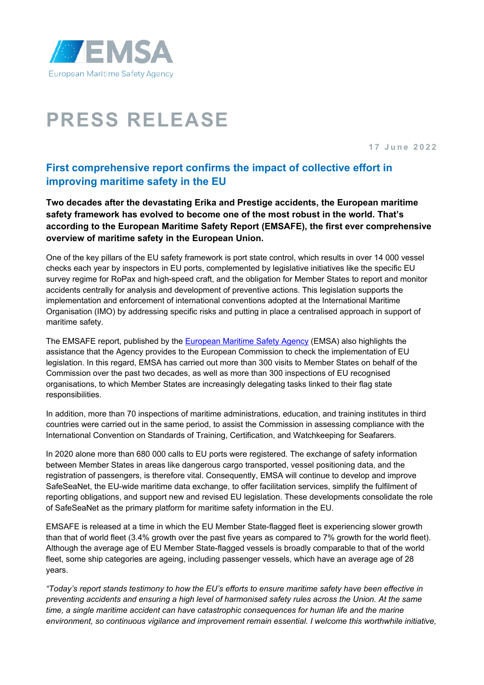

# **PRESS RELEASE**

**1 7 June 202 2**

# **First comprehensive report confirms the impact of collective effort in improving maritime safety in the EU**

**Two decades after the devastating Erika and Prestige accidents, the European maritime safety framework has evolved to become one of the most robust in the world. That's according to the European Maritime Safety Report (EMSAFE), the first ever comprehensive overview of maritime safety in the European Union.**

One of the key pillars of the EU safety framework is port state control, which results in over 14 000 vessel checks each year by inspectors in EU ports, complemented by legislative initiatives like the specific EU survey regime for RoPax and high-speed craft, and the obligation for Member States to report and monitor accidents centrally for analysis and development of preventive actions. This legislation supports the implementation and enforcement of international conventions adopted at the International Maritime Organisation (IMO) by addressing specific risks and putting in place a centralised approach in support of maritime safety.

The EMSAFE report, published by the [European Maritime Safety Agency](http://www.emsa.europa.eu/) (EMSA) also highlights the assistance that the Agency provides to the European Commission to check the implementation of EU legislation. In this regard, EMSA has carried out more than 300 visits to Member States on behalf of the Commission over the past two decades, as well as more than 300 inspections of EU recognised organisations, to which Member States are increasingly delegating tasks linked to their flag state responsibilities.

In addition, more than 70 inspections of maritime administrations, education, and training institutes in third countries were carried out in the same period, to assist the Commission in assessing compliance with the International Convention on Standards of Training, Certification, and Watchkeeping for Seafarers.

In 2020 alone more than 680 000 calls to EU ports were registered. The exchange of safety information between Member States in areas like dangerous cargo transported, vessel positioning data, and the registration of passengers, is therefore vital. Consequently, EMSA will continue to develop and improve SafeSeaNet, the EU-wide maritime data exchange, to offer facilitation services, simplify the fulfilment of reporting obligations, and support new and revised EU legislation. These developments consolidate the role of SafeSeaNet as the primary platform for maritime safety information in the EU.

EMSAFE is released at a time in which the EU Member State-flagged fleet is experiencing slower growth than that of world fleet (3.4% growth over the past five years as compared to 7% growth for the world fleet). Although the average age of EU Member State-flagged vessels is broadly comparable to that of the world fleet, some ship categories are ageing, including passenger vessels, which have an average age of 28 years.

*"Today's report stands testimony to how the EU's efforts to ensure maritime safety have been effective in preventing accidents and ensuring a high level of harmonised safety rules across the Union. At the same time, a single maritime accident can have catastrophic consequences for human life and the marine environment, so continuous vigilance and improvement remain essential. I welcome this worthwhile initiative,*